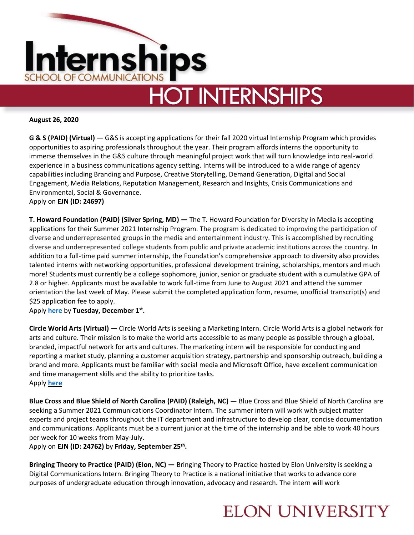

# **HOT INTERNSHIPS**

**August 26, 2020**

**G & S (PAID) (Virtual) —** G&S is accepting applications for their fall 2020 virtual Internship Program which provides opportunities to aspiring professionals throughout the year. Their program affords interns the opportunity to immerse themselves in the G&S culture through meaningful project work that will turn knowledge into real-world experience in a business communications agency setting. Interns will be introduced to a wide range of agency capabilities including Branding and Purpose, Creative Storytelling, Demand Generation, Digital and Social Engagement, Media Relations, Reputation Management, Research and Insights, Crisis Communications and Environmental, Social & Governance. Apply on **EJN (ID: 24697)** 

**T. Howard Foundation (PAID) (Silver Spring, MD) —** The T. Howard Foundation for Diversity in Media is accepting applications for their Summer 2021 Internship Program. The program is dedicated to improving the participation of diverse and underrepresented groups in the media and entertainment industry. This is accomplished by recruiting diverse and underrepresented college students from public and private academic institutions across the country. In addition to a full-time paid summer internship, the Foundation's comprehensive approach to diversity also provides talented interns with networking opportunities, professional development training, scholarships, mentors and much more! Students must currently be a college sophomore, junior, senior or graduate student with a cumulative GPA of 2.8 or higher. Applicants must be available to work full-time from June to August 2021 and attend the summer orientation the last week of May. Please submit the completed application form, resume, unofficial transcript(s) and \$25 application fee to apply.

Apply **[here](https://www.t-howard.org/students/)** by **Tuesday, December 1st .**

**Circle World Arts (Virtual) —** Circle World Arts is seeking a Marketing Intern. Circle World Arts is a global network for arts and culture. Their mission is to make the world arts accessible to as many people as possible through a global, branded, impactful network for arts and cultures. The marketing intern will be responsible for conducting and reporting a market study, planning a customer acquisition strategy, partnership and sponsorship outreach, building a brand and more. Applicants must be familiar with social media and Microsoft Office, have excellent communication and time management skills and the ability to prioritize tasks. Apply **[here](https://www.wayup.com/i-Internet-j-Fundraising-Intern-at-a-TED-Featured-Startup-Circle-World-Arts-950219072238497/?bsft_aaid=3977c95c-83a6-4903-85e0-20d04704199b&bsft_clkid=5e7716cd-fec1-45d3-867e-a47c56242639&bsft_eid=2adc4033-3893-c717-a6ea-cf69b2834659&bsft_ek=2020-08-24T14%3A00%3A40Z&bsft_mid=66cd1dcd-fced-4e9f-b7a6-b40de9d9388f&bsft_mime_type=html&bsft_txnid=5125e61f-3a55-4f28-91a3-e60792b2788b&bsft_uid=b82c613a-7c35-4791-9264-0a7ec56cdc69&email=cominternships%40elon.edu&refer=jobem-automatedjobalert-wayuprec-2020-08-24&utm_campaign=jobem-automatedjobalert-wayuprec-2020-08-24&utm_content=jobem-automatedjobalert-wayuprec-2020-08-24&utm_medium=email&utm_source=automatedjobalert)**

**Blue Cross and Blue Shield of North Carolina (PAID) (Raleigh, NC) —** Blue Cross and Blue Shield of North Carolina are seeking a Summer 2021 Communications Coordinator Intern. The summer intern will work with subject matter experts and project teams throughout the IT department and infrastructure to develop clear, concise documentation and communications. Applicants must be a current junior at the time of the internship and be able to work 40 hours per week for 10 weeks from May-July.

Apply on **EJN (ID: 24762)** by **Friday, September 25th .**

**Bringing Theory to Practice (PAID) (Elon, NC) —** Bringing Theory to Practice hosted by Elon University is seeking a Digital Communications Intern. Bringing Theory to Practice is a national initiative that works to advance core purposes of undergraduate education through innovation, advocacy and research. The intern will work

## **ELON UNIVERSITY**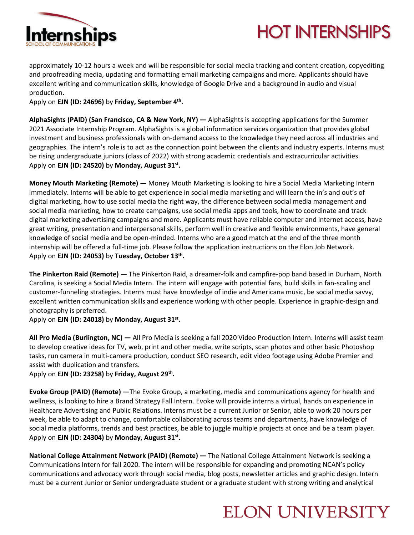

# **HOT INTERNSHIPS**

approximately 10-12 hours a week and will be responsible for social media tracking and content creation, copyediting and proofreading media, updating and formatting email marketing campaigns and more. Applicants should have excellent writing and communication skills, knowledge of Google Drive and a background in audio and visual production.

Apply on **EJN (ID: 24696)** by **Friday, September 4 th .**

**AlphaSights (PAID) (San Francisco, CA & New York, NY) —** AlphaSights is accepting applications for the Summer 2021 Associate Internship Program. AlphaSights is a global information services organization that provides global investment and business professionals with on-demand access to the knowledge they need across all industries and geographies. The intern's role is to act as the connection point between the clients and industry experts. Interns must be rising undergraduate juniors (class of 2022) with strong academic credentials and extracurricular activities. Apply on **EJN (ID: 24520)** by **Monday, August 31st .**

**Money Mouth Marketing (Remote) —** Money Mouth Marketing is looking to hire a Social Media Marketing Intern immediately. Interns will be able to get experience in social media marketing and will learn the in's and out's of digital marketing, how to use social media the right way, the difference between social media management and social media marketing, how to create campaigns, use social media apps and tools, how to coordinate and track digital marketing advertising campaigns and more. Applicants must have reliable computer and internet access, have great writing, presentation and interpersonal skills, perform well in creative and flexible environments, have general knowledge of social media and be open-minded. Interns who are a good match at the end of the three month internship will be offered a full-time job. Please follow the application instructions on the Elon Job Network. Apply on **EJN (ID: 24053)** by **Tuesday, October 13th .**

**The Pinkerton Raid (Remote) —** The Pinkerton Raid, a dreamer-folk and campfire-pop band based in Durham, North Carolina, is seeking a Social Media Intern. The intern will engage with potential fans, build skills in fan-scaling and customer-funneling strategies. Interns must have knowledge of indie and Americana music, be social media savvy, excellent written communication skills and experience working with other people. Experience in graphic-design and photography is preferred.

#### Apply on **EJN (ID: 24018)** by **Monday, August 31st .**

**All Pro Media (Burlington, NC) —** All Pro Media is seeking a fall 2020 Video Production Intern. Interns will assist team to develop creative ideas for TV, web, print and other media, write scripts, scan photos and other basic Photoshop tasks, run camera in multi-camera production, conduct SEO research, edit video footage using Adobe Premier and assist with duplication and transfers.

Apply on **EJN (ID: 23258)** by **Friday, August 29th .**

**Evoke Group (PAID) (Remote) —**The Evoke Group, a marketing, media and communications agency for health and wellness, is looking to hire a Brand Strategy Fall Intern. Evoke will provide interns a virtual, hands on experience in Healthcare Advertising and Public Relations. Interns must be a current Junior or Senior, able to work 20 hours per week, be able to adapt to change, comfortable collaborating across teams and departments, have knowledge of social media platforms, trends and best practices, be able to juggle multiple projects at once and be a team player. Apply on **EJN (ID: 24304)** by **Monday, August 31st .**

**National College Attainment Network (PAID) (Remote) —** The National College Attainment Network is seeking a Communications Intern for fall 2020. The intern will be responsible for expanding and promoting NCAN's policy communications and advocacy work through social media, blog posts, newsletter articles and graphic design. Intern must be a current Junior or Senior undergraduate student or a graduate student with strong writing and analytical

## **ELON UNIVERSITY**